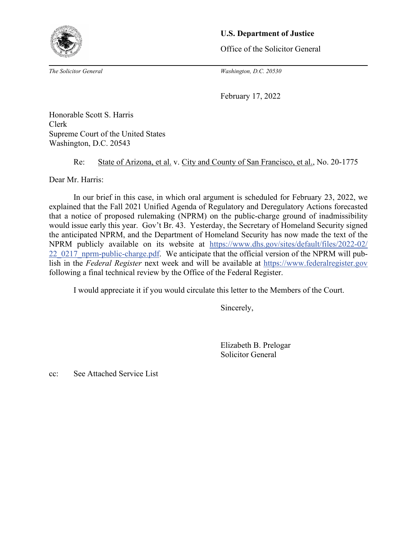

## **U.S. Department of Justice**

Office of the Solicitor General

*The Solicitor General Washington, D.C. 20530*

February 17, 2022

Honorable Scott S. Harris Clerk Supreme Court of the United States Washington, D.C. 20543

## Re: State of Arizona, et al. v. City and County of San Francisco, et al., No. 20-1775

Dear Mr. Harris:

In our brief in this case, in which oral argument is scheduled for February 23, 2022, we explained that the Fall 2021 Unified Agenda of Regulatory and Deregulatory Actions forecasted that a notice of proposed rulemaking (NPRM) on the public-charge ground of inadmissibility would issue early this year. Gov't Br. 43. Yesterday, the Secretary of Homeland Security signed the anticipated NPRM, and the Department of Homeland Security has now made the text of the NPRM publicly available on its website at [https://www.dhs.gov/sites/default/files/2022-02/](https://www.dhs.gov/sites/default/files/2022-02/22_0217_nprm-public-charge.pdf)  [22\\_0217\\_nprm-public-charge.pdf.](https://www.dhs.gov/sites/default/files/2022-02/22_0217_nprm-public-charge.pdf) We anticipate that the official version of the NPRM will publish in the *Federal Register* next week and will be available at [https://www.federalregister.gov](https://www.federalregister.gov/) following a final technical review by the Office of the Federal Register.

I would appreciate it if you would circulate this letter to the Members of the Court.

Sincerely,

 Elizabeth B. Prelogar Solicitor General

cc: See Attached Service List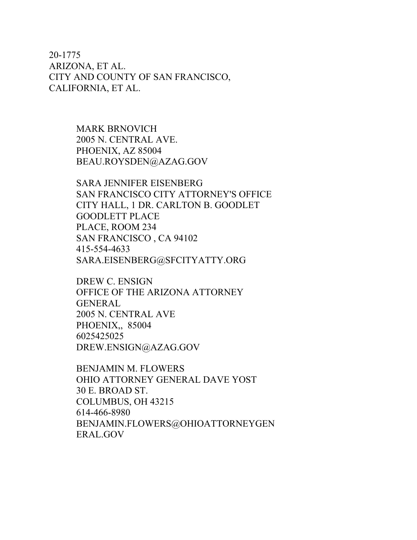20-1775 ARIZONA, ET AL. CITY AND COUNTY OF SAN FRANCISCO, CALIFORNIA, ET AL.

> MARK BRNOVICH 2005 N. CENTRAL AVE. PHOENIX, AZ 85004 BEAU.ROYSDEN@AZAG.GOV

SARA JENNIFER EISENBERG SAN FRANCISCO CITY ATTORNEY'S OFFICE CITY HALL, 1 DR. CARLTON B. GOODLET GOODLETT PLACE PLACE, ROOM 234 SAN FRANCISCO , CA 94102 415-554-4633 SARA.EISENBERG@SFCITYATTY.ORG

DREW C. ENSIGN OFFICE OF THE ARIZONA ATTORNEY GENERAL 2005 N. CENTRAL AVE PHOENIX,, 85004 6025425025 DREW.ENSIGN@AZAG.GOV

BENJAMIN M. FLOWERS OHIO ATTORNEY GENERAL DAVE YOST 30 E. BROAD ST. COLUMBUS, OH 43215 614-466-8980 BENJAMIN.FLOWERS@OHIOATTORNEYGEN ERAL.GOV